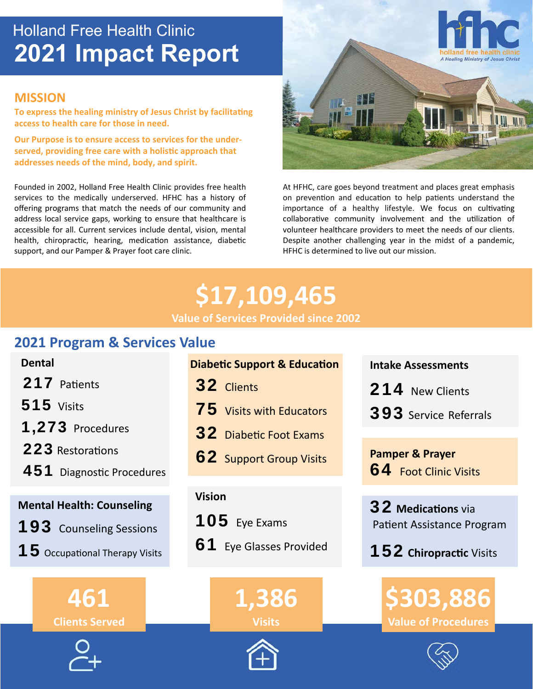# Holland Free Health Clinic **2021 Impact Report**

## **MISSION**

**To express the healing ministry of Jesus Christ by facilitating access to health care for those in need.** 

**Our Purpose is to ensure access to services for the under**served, providing free care with a holistic approach that **addresses needs of the mind, body, and spirit.**

Founded in 2002, Holland Free Health Clinic provides free health services to the medically underserved. HFHC has a history of offering programs that match the needs of our community and address local service gaps, working to ensure that healthcare is accessible for all. Current services include dental, vision, mental health, chiropractic, hearing, medication assistance, diabetic support, and our Pamper & Prayer foot care clinic.



At HFHC, care goes beyond treatment and places great emphasis on prevention and education to help patients understand the importance of a healthy lifestyle. We focus on cultivating collaborative community involvement and the utilization of volunteer healthcare providers to meet the needs of our clients. Despite another challenging year in the midst of a pandemic, HFHC is determined to live out our mission.

# **\$17,109,465 Value of Services Provided since 2002**

## **2021 Program & Services Value**

# **Vision**  32 Clients  **Dental**  217 Patients **515** Visits 1,273 Procedures 223 Restorations 451 Diagnostic Procedures  **Mental Health: Counseling** 193 Counseling Sessions

**15** Occupational Therapy Visits

**461 Clients Served**



| <b>Diabetic Support &amp; Education</b> |  |
|-----------------------------------------|--|
|-----------------------------------------|--|

- **75** Visits with Educators
- 32 Diabetic Foot Exams
- **62** Support Group Visits

105 Eye Exams **61** Eye Glasses Provided





 **Intake Assessments** 

214 New Clients

393 Service Referrals

 **Pamper & Prayer 64** Foot Clinic Visits

**32 Medications** via Patient Assistance Program

152**ChiropracƟc** Visits